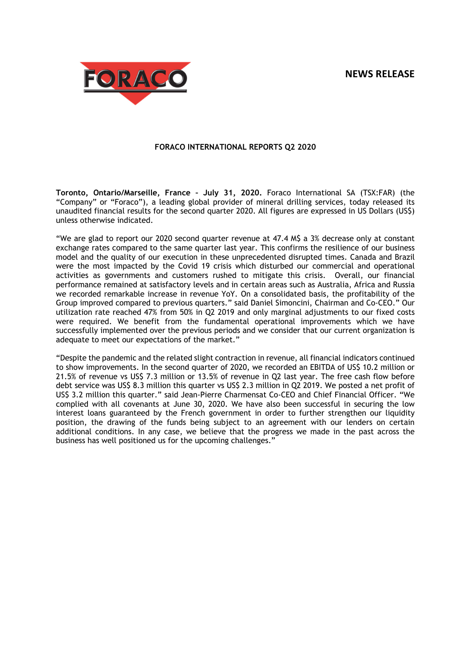# **NEWS RELEASE**



## **FORACO INTERNATIONAL REPORTS Q2 2020**

**Toronto, Ontario/Marseille, France – July 31, 2020.** Foraco International SA (TSX:FAR) (the "Company" or "Foraco"), a leading global provider of mineral drilling services, today released its unaudited financial results for the second quarter 2020. All figures are expressed in US Dollars (US\$) unless otherwise indicated.

"We are glad to report our 2020 second quarter revenue at 47.4 M\$ a 3% decrease only at constant exchange rates compared to the same quarter last year. This confirms the resilience of our business model and the quality of our execution in these unprecedented disrupted times. Canada and Brazil were the most impacted by the Covid 19 crisis which disturbed our commercial and operational activities as governments and customers rushed to mitigate this crisis. Overall, our financial performance remained at satisfactory levels and in certain areas such as Australia, Africa and Russia we recorded remarkable increase in revenue YoY. On a consolidated basis, the profitability of the Group improved compared to previous quarters." said Daniel Simoncini, Chairman and Co-CEO." Our utilization rate reached 47% from 50% in Q2 2019 and only marginal adjustments to our fixed costs were required. We benefit from the fundamental operational improvements which we have successfully implemented over the previous periods and we consider that our current organization is adequate to meet our expectations of the market."

"Despite the pandemic and the related slight contraction in revenue, all financial indicators continued to show improvements. In the second quarter of 2020, we recorded an EBITDA of US\$ 10.2 million or 21.5% of revenue vs US\$ 7.3 million or 13.5% of revenue in Q2 last year. The free cash flow before debt service was US\$ 8.3 million this quarter vs US\$ 2.3 million in Q2 2019. We posted a net profit of US\$ 3.2 million this quarter." said Jean-Pierre Charmensat Co-CEO and Chief Financial Officer. "We complied with all covenants at June 30, 2020. We have also been successful in securing the low interest loans guaranteed by the French government in order to further strengthen our liquidity position, the drawing of the funds being subject to an agreement with our lenders on certain additional conditions. In any case, we believe that the progress we made in the past across the business has well positioned us for the upcoming challenges."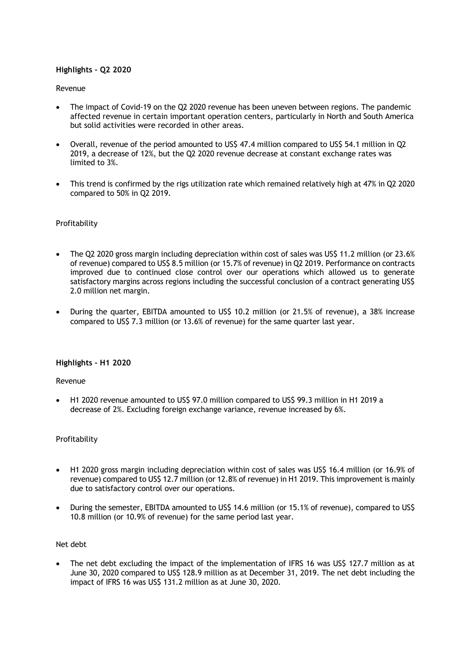## **Highlights – Q2 2020**

## Revenue

- The impact of Covid-19 on the Q2 2020 revenue has been uneven between regions. The pandemic affected revenue in certain important operation centers, particularly in North and South America but solid activities were recorded in other areas.
- Overall, revenue of the period amounted to US\$ 47.4 million compared to US\$ 54.1 million in Q2 2019, a decrease of 12%, but the Q2 2020 revenue decrease at constant exchange rates was limited to 3%.
- This trend is confirmed by the rigs utilization rate which remained relatively high at 47% in Q2 2020 compared to 50% in Q2 2019.

## **Profitability**

- The Q2 2020 gross margin including depreciation within cost of sales was US\$ 11.2 million (or 23.6% of revenue) compared to US\$ 8.5 million (or 15.7% of revenue) in Q2 2019. Performance on contracts improved due to continued close control over our operations which allowed us to generate satisfactory margins across regions including the successful conclusion of a contract generating US\$ 2.0 million net margin.
- During the quarter, EBITDA amounted to US\$ 10.2 million (or 21.5% of revenue), a 38% increase compared to US\$ 7.3 million (or 13.6% of revenue) for the same quarter last year.

## **Highlights – H1 2020**

## Revenue

 H1 2020 revenue amounted to US\$ 97.0 million compared to US\$ 99.3 million in H1 2019 a decrease of 2%. Excluding foreign exchange variance, revenue increased by 6%.

## Profitability

- H1 2020 gross margin including depreciation within cost of sales was US\$ 16.4 million (or 16.9% of revenue) compared to US\$ 12.7 million (or 12.8% of revenue) in H1 2019. This improvement is mainly due to satisfactory control over our operations.
- During the semester, EBITDA amounted to US\$ 14.6 million (or 15.1% of revenue), compared to US\$ 10.8 million (or 10.9% of revenue) for the same period last year.

## Net debt

 The net debt excluding the impact of the implementation of IFRS 16 was US\$ 127.7 million as at June 30, 2020 compared to US\$ 128.9 million as at December 31, 2019. The net debt including the impact of IFRS 16 was US\$ 131.2 million as at June 30, 2020.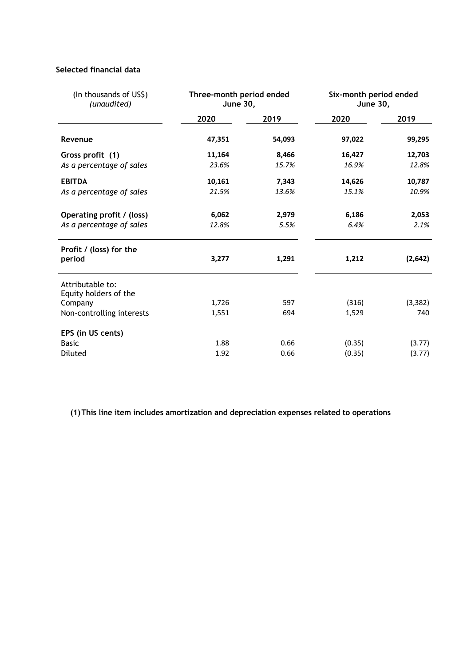# **Selected financial data**

| (In thousands of US\$)<br>(unaudited)     | Three-month period ended<br><b>June 30,</b> |        | Six-month period ended<br><b>June 30,</b> |          |  |
|-------------------------------------------|---------------------------------------------|--------|-------------------------------------------|----------|--|
|                                           | 2020                                        | 2019   | 2020                                      | 2019     |  |
| Revenue                                   | 47,351                                      | 54,093 | 97,022                                    | 99,295   |  |
| Gross profit (1)                          | 11,164                                      | 8,466  | 16,427                                    | 12,703   |  |
| As a percentage of sales                  | 23.6%                                       | 15.7%  | 16.9%                                     | 12.8%    |  |
| <b>EBITDA</b>                             | 10,161                                      | 7,343  | 14,626                                    | 10,787   |  |
| As a percentage of sales                  | 21.5%                                       | 13.6%  | 15.1%                                     | 10.9%    |  |
| Operating profit / (loss)                 | 6,062                                       | 2,979  | 6,186                                     | 2,053    |  |
| As a percentage of sales                  | 12.8%                                       | 5.5%   | 6.4%                                      | 2.1%     |  |
| Profit / (loss) for the<br>period         | 3,277                                       | 1,291  | 1,212                                     | (2,642)  |  |
| Attributable to:<br>Equity holders of the |                                             |        |                                           |          |  |
| Company                                   | 1,726                                       | 597    | (316)                                     | (3, 382) |  |
| Non-controlling interests                 | 1,551                                       | 694    | 1,529                                     | 740      |  |
| EPS (in US cents)                         |                                             |        |                                           |          |  |
| <b>Basic</b>                              | 1.88                                        | 0.66   | (0.35)                                    | (3.77)   |  |
| Diluted                                   | 1.92                                        | 0.66   | (0.35)                                    | (3.77)   |  |

**(1)This line item includes amortization and depreciation expenses related to operations**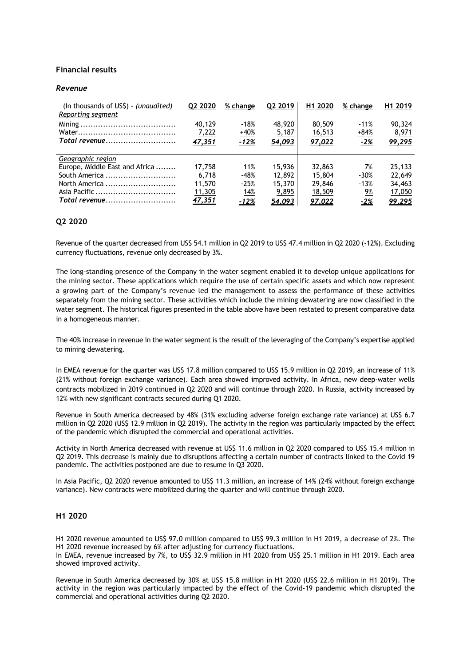## **Financial results**

#### *Revenue*

| (In thousands of US\$) - (unaudited)<br>Reporting segment | Q2 2020 | % change    | Q2 2019 | H <sub>1</sub> 2020 | % change   | H <sub>1</sub> 2019 |
|-----------------------------------------------------------|---------|-------------|---------|---------------------|------------|---------------------|
|                                                           | 40,129  | $-18%$      | 48,920  | 80,509              | $-11%$     | 90,324              |
|                                                           | 7,222   | $+40%$      | 5,187   | 16,513              | $+84%$     | 8,971               |
| Total revenue                                             | 47,351  | $-12%$      | 54,093  | 97,022              | $-2%$      | 99,295              |
| Geographic region                                         |         |             |         |                     |            |                     |
| Europe, Middle East and Africa                            | 17.758  | 11%         | 15,936  | 32,863              | 7%         | 25,133              |
| South America                                             | 6.718   | $-48%$      | 12,892  | 15,804              | $-30%$     | 22,649              |
| North America                                             | 11,570  | $-25%$      | 15,370  | 29,846              | $-13%$     | 34,463              |
|                                                           | 11,305  | 14%         | 9,895   | 18,509              | <u>9%</u>  | 17,050              |
| Total revenue                                             | 47,351  | <u>-12%</u> | 54,093  | 97,022              | <u>-2%</u> | 99,295              |

## **Q2 2020**

Revenue of the quarter decreased from US\$ 54.1 million in Q2 2019 to US\$ 47.4 million in Q2 2020 (-12%). Excluding currency fluctuations, revenue only decreased by 3%.

The long-standing presence of the Company in the water segment enabled it to develop unique applications for the mining sector. These applications which require the use of certain specific assets and which now represent a growing part of the Company's revenue led the management to assess the performance of these activities separately from the mining sector. These activities which include the mining dewatering are now classified in the water segment. The historical figures presented in the table above have been restated to present comparative data in a homogeneous manner.

The 40% increase in revenue in the water segment is the result of the leveraging of the Company's expertise applied to mining dewatering.

In EMEA revenue for the quarter was US\$ 17.8 million compared to US\$ 15.9 million in Q2 2019, an increase of 11% (21% without foreign exchange variance). Each area showed improved activity. In Africa, new deep-water wells contracts mobilized in 2019 continued in Q2 2020 and will continue through 2020. In Russia, activity increased by 12% with new significant contracts secured during Q1 2020.

Revenue in South America decreased by 48% (31% excluding adverse foreign exchange rate variance) at US\$ 6.7 million in Q2 2020 (US\$ 12.9 million in Q2 2019). The activity in the region was particularly impacted by the effect of the pandemic which disrupted the commercial and operational activities.

Activity in North America decreased with revenue at US\$ 11.6 million in Q2 2020 compared to US\$ 15.4 million in Q2 2019. This decrease is mainly due to disruptions affecting a certain number of contracts linked to the Covid 19 pandemic. The activities postponed are due to resume in Q3 2020.

In Asia Pacific, Q2 2020 revenue amounted to US\$ 11.3 million, an increase of 14% (24% without foreign exchange variance). New contracts were mobilized during the quarter and will continue through 2020.

## **H1 2020**

H1 2020 revenue amounted to US\$ 97.0 million compared to US\$ 99.3 million in H1 2019, a decrease of 2%. The H1 2020 revenue increased by 6% after adjusting for currency fluctuations. In EMEA, revenue increased by 7%, to US\$ 32.9 million in H1 2020 from US\$ 25.1 million in H1 2019. Each area

showed improved activity.

Revenue in South America decreased by 30% at US\$ 15.8 million in H1 2020 (US\$ 22.6 million in H1 2019). The activity in the region was particularly impacted by the effect of the Covid-19 pandemic which disrupted the commercial and operational activities during Q2 2020.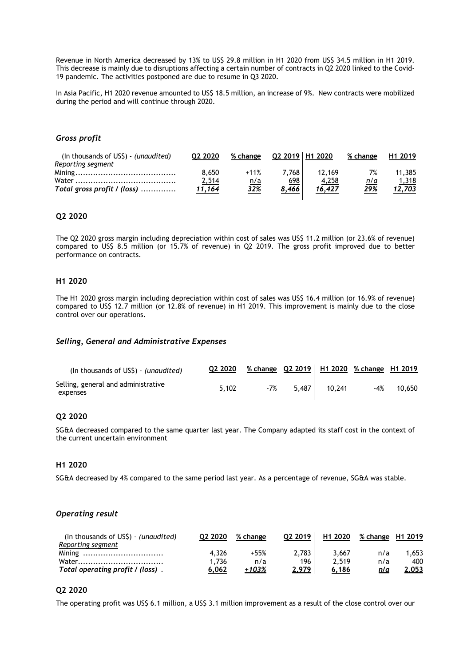Revenue in North America decreased by 13% to US\$ 29.8 million in H1 2020 from US\$ 34.5 million in H1 2019. This decrease is mainly due to disruptions affecting a certain number of contracts in Q2 2020 linked to the Covid-19 pandemic. The activities postponed are due to resume in Q3 2020.

In Asia Pacific, H1 2020 revenue amounted to US\$ 18.5 million, an increase of 9%. New contracts were mobilized during the period and will continue through 2020.

## *Gross profit*

| (In thousands of US\$) - (unaudited) | 02 2020       | % change   | Q2 2019 H1 2020 |               | % change    | H <sub>1</sub> 2019 |
|--------------------------------------|---------------|------------|-----------------|---------------|-------------|---------------------|
| Reporting segment                    |               |            |                 |               |             |                     |
|                                      | 8.650         | $+11%$     | 7.768           | 12.169        | 7%          | 11.385              |
|                                      | 2,514         | n/a        | <u>698</u>      | 4,258         | n/a         | 1,318               |
| Total gross profit / (loss)          | <u>11,164</u> | <u>32%</u> | <u>8,466</u>    | <u>16,427</u> | <u> 29%</u> | <u>12,703</u>       |
|                                      |               |            |                 |               |             |                     |

### **Q2 2020**

The Q2 2020 gross margin including depreciation within cost of sales was US\$ 11.2 million (or 23.6% of revenue) compared to US\$ 8.5 million (or 15.7% of revenue) in Q2 2019. The gross profit improved due to better performance on contracts.

## **H1 2020**

The H1 2020 gross margin including depreciation within cost of sales was US\$ 16.4 million (or 16.9% of revenue) compared to US\$ 12.7 million (or 12.8% of revenue) in H1 2019. This improvement is mainly due to the close control over our operations.

#### *Selling, General and Administrative Expenses*

| (In thousands of US\$) - (unaudited)            | Q2 2020 |     |       |        | % change Q2 2019 H1 2020 % change H1 2019 |        |
|-------------------------------------------------|---------|-----|-------|--------|-------------------------------------------|--------|
| Selling, general and administrative<br>expenses | 5.102   | -7% | 5.487 | 10.241 | -4%                                       | 10,650 |

## **Q2 2020**

SG&A decreased compared to the same quarter last year. The Company adapted its staff cost in the context of the current uncertain environment

### **H1 2020**

SG&A decreased by 4% compared to the same period last year. As a percentage of revenue, SG&A was stable.

#### *Operating result*

| (In thousands of $US\$ ) - (unaudited) | 02 2020 | % change | 02 2019    | H1 2020 | % change H1 2019 |       |
|----------------------------------------|---------|----------|------------|---------|------------------|-------|
| Reporting segment                      |         |          |            |         |                  |       |
|                                        | 4.326   | +55%     | 2.783      | 3.667   | n/a              | .653  |
|                                        | 1,736   | n/a      | <u>196</u> | 2,519   | n/a              | 400   |
| Total operating profit / (loss).       | 6.062   | +103%    | 2.979      | 6.186   | n/a              | 2.053 |

## **Q2 2020**

The operating profit was US\$ 6.1 million, a US\$ 3.1 million improvement as a result of the close control over our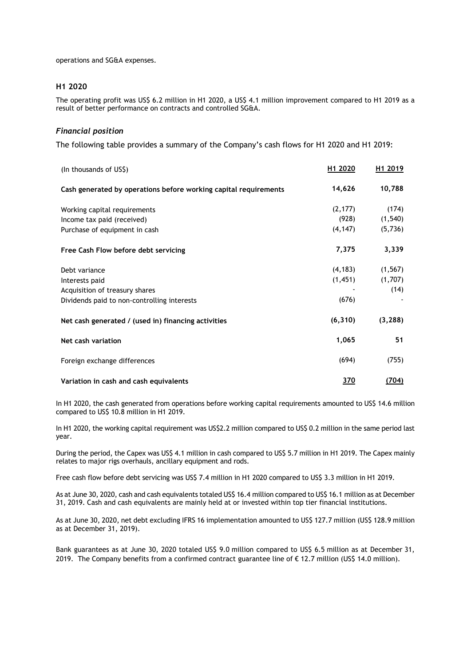operations and SG&A expenses.

### **H1 2020**

The operating profit was US\$ 6.2 million in H1 2020, a US\$ 4.1 million improvement compared to H1 2019 as a result of better performance on contracts and controlled SG&A.

## *Financial position*

The following table provides a summary of the Company's cash flows for H1 2020 and H1 2019:

| (In thousands of US\$)                                           | H1 2020    | H1 2019      |
|------------------------------------------------------------------|------------|--------------|
| Cash generated by operations before working capital requirements | 14,626     | 10,788       |
| Working capital requirements                                     | (2, 177)   | (174)        |
| Income tax paid (received)                                       | (928)      | (1, 540)     |
| Purchase of equipment in cash                                    | (4, 147)   | (5,736)      |
| Free Cash Flow before debt servicing                             | 7,375      | 3,339        |
| Debt variance                                                    | (4, 183)   | (1, 567)     |
| Interests paid                                                   | (1, 451)   | (1,707)      |
| Acquisition of treasury shares                                   |            | (14)         |
| Dividends paid to non-controlling interests                      | (676)      |              |
| Net cash generated / (used in) financing activities              | (6, 310)   | (3, 288)     |
| Net cash variation                                               | 1,065      | 51           |
| Foreign exchange differences                                     | (694)      | (755)        |
| Variation in cash and cash equivalents                           | <u>370</u> | <u>(704)</u> |

In H1 2020, the cash generated from operations before working capital requirements amounted to US\$ 14.6 million compared to US\$ 10.8 million in H1 2019.

In H1 2020, the working capital requirement was US\$2.2 million compared to US\$ 0.2 million in the same period last year.

During the period, the Capex was US\$ 4.1 million in cash compared to US\$ 5.7 million in H1 2019. The Capex mainly relates to major rigs overhauls, ancillary equipment and rods.

Free cash flow before debt servicing was US\$ 7.4 million in H1 2020 compared to US\$ 3.3 million in H1 2019.

As at June 30, 2020, cash and cash equivalents totaled US\$ 16.4 million compared to US\$ 16.1 million as at December 31, 2019. Cash and cash equivalents are mainly held at or invested within top tier financial institutions.

As at June 30, 2020, net debt excluding IFRS 16 implementation amounted to US\$ 127.7 million (US\$ 128.9 million as at December 31, 2019).

Bank guarantees as at June 30, 2020 totaled US\$ 9.0 million compared to US\$ 6.5 million as at December 31, 2019. The Company benefits from a confirmed contract guarantee line of € 12.7 million (US\$ 14.0 million).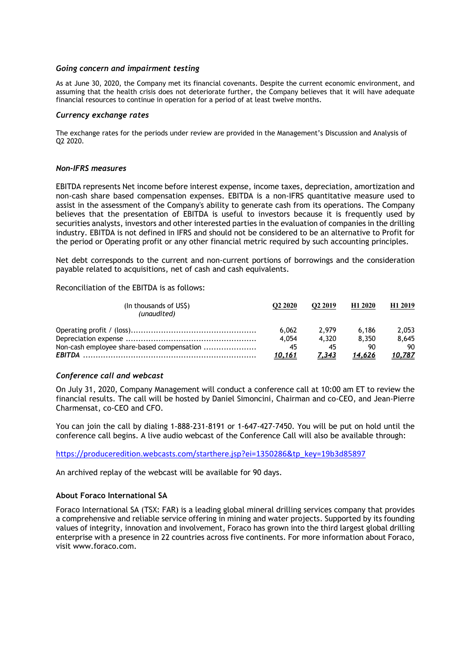### *Going concern and impairment testing*

As at June 30, 2020, the Company met its financial covenants. Despite the current economic environment, and assuming that the health crisis does not deteriorate further, the Company believes that it will have adequate financial resources to continue in operation for a period of at least twelve months.

#### *Currency exchange rates*

The exchange rates for the periods under review are provided in the Management's Discussion and Analysis of Q2 2020.

### *Non-IFRS measures*

EBITDA represents Net income before interest expense, income taxes, depreciation, amortization and non-cash share based compensation expenses. EBITDA is a non-IFRS quantitative measure used to assist in the assessment of the Company's ability to generate cash from its operations. The Company believes that the presentation of EBITDA is useful to investors because it is frequently used by securities analysts, investors and other interested parties in the evaluation of companies in the drilling industry. EBITDA is not defined in IFRS and should not be considered to be an alternative to Profit for the period or Operating profit or any other financial metric required by such accounting principles.

Net debt corresponds to the current and non-current portions of borrowings and the consideration payable related to acquisitions, net of cash and cash equivalents.

Reconciliation of the EBITDA is as follows:

| (In thousands of US\$)<br>(unaudited)      | O <sub>2</sub> 2020 | O <sub>2</sub> 2019 | H <sub>1</sub> 2020 | H <sub>1</sub> 2019 |
|--------------------------------------------|---------------------|---------------------|---------------------|---------------------|
|                                            | 6.062               | 2.979               | 6.186               | 2.053               |
|                                            | 4.054               | 4.320               | 8.350               | 8.645               |
| Non-cash employee share-based compensation | 45                  | 45                  | 90                  | 90                  |
|                                            | 10,161              | 7.343               | 14.626              | 10,787              |

## *Conference call and webcast*

On July 31, 2020, Company Management will conduct a conference call at 10:00 am ET to review the financial results. The call will be hosted by Daniel Simoncini, Chairman and co-CEO, and Jean-Pierre Charmensat, co-CEO and CFO.

You can join the call by dialing 1-888-231-8191 or 1-647-427-7450. You will be put on hold until the conference call begins. A live audio webcast of the Conference Call will also be available through:

https://produceredition.webcasts.com/starthere.jsp?ei=1350286&tp\_key=19b3d85897

An archived replay of the webcast will be available for 90 days.

## **About Foraco International SA**

Foraco International SA (TSX: FAR) is a leading global mineral drilling services company that provides a comprehensive and reliable service offering in mining and water projects. Supported by its founding values of integrity, innovation and involvement, Foraco has grown into the third largest global drilling enterprise with a presence in 22 countries across five continents. For more information about Foraco, visit www.foraco.com.